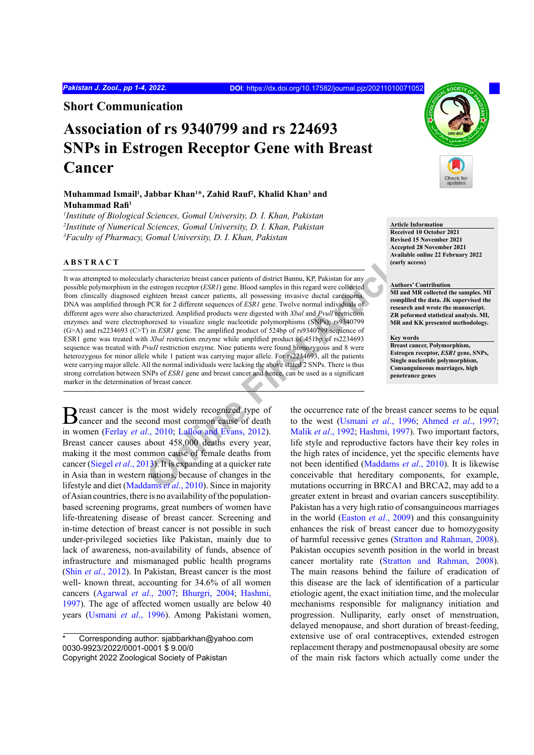**Short Communication**

# **Association of rs 9340799 and rs 224693 SNPs in Estrogen Receptor Gene with Breast Cancer**

# Muhammad Ismail<sup>1</sup>, Jabbar Khan<sup>1\*</sup>, Zahid Rauf<sup>2</sup>, Khalid Khan<sup>3</sup> and **Muhammad Rafi<sup>1</sup>**

*1 Institute of Biological Sciences, Gomal University, D. I. Khan, Pakistan 2 Institute of Numerical Sciences, Gomal University, D. I. Khan, Pakistan 3 Faculty of Pharmacy, Gomal University, D. I. Khan, Pakistan*

# **ABSTRACT**

The contract extract and the state of district Bannu, KP, Pakistan for any<br>
decritive estrogen receptor *(ESRI)* gene. Blood samples in this regard were collected<br>
increased to visualize single nucleotide polynomphisms (SM It was attempted to molecularly characterize breast cancer patients of district Bannu, KP, Pakistan for any possible polymorphism in the estrogen receptor (*ESR1*) gene. Blood samples in this regard were collected from clinically diagnosed eighteen breast cancer patients, all possessing invasive ductal carcinoma. DNA was amplified through PCR for 2 different sequences of *ESR1* gene. Twelve normal individuals of different ages were also characterized. Amplified products were digested with *Xbal* and *Pvull* restriction enzymes and were electrophoresed to visualize single nucleotide polymorphisms (SNPs); rs9340799 (G>A) and rs2234693 (C>T) in *ESR1* gene. The amplified product of 524bp of rs9340799 sequence of ESR1 gene was treated with *Xbal* restriction enzyme while amplified product of 451bp of rs2234693 sequence was treated with *PvuII* restriction enzyme. Nine patients were found homozygous and 8 were heterozygous for minor allele while 1 patient was carrying major allele. For rs2234693, all the patients were carrying major allele. All the normal individuals were lacking the above stated 2 SNPs. There is thus strong correlation between SNPs of *ESR1* gene and breast cancer and hence, can be used as a significant marker in the determination of breast cancer.

Breast cancer is the most widely recognized type of death cancer and the second most common cause of death in women (Ferlay *et al*., 2010; Lalloo and Evans, 2012). Breast cancer causes about 458,000 deaths every year, making it the most common cause of female deaths from cancer [\(Siegel](#page-3-2) *et al*., 2013). It is expanding at a quicker rate in Asia than in western nations, because of changes in the lifestyle and diet (Maddams *et al*., 2010). Since in majority of Asian countries, there is no availability of the populationbased screening programs, great numbers of women have life-threatening disease of breast cancer. Screening and in-time detection of breast cancer is not possible in such under-privileged societies like Pakistan, mainly due to lack of awareness, non-availability of funds, absence of infrastructure and mismanaged public health programs (Shin *et al*[., 2012](#page-3-4)). In Pakistan, Breast cancer is the most well- known threat, accounting for 34.6% of all women cancers (Agarwal *et al*., 2007; [Bhurgri, 2004](#page-3-5); [Hashmi,](#page-3-6) [1997](#page-3-6)). The age of affected women usually are below 40 years ([Usmani](#page-3-7) *et al*., 1996). Among Pakistani women,



**Article Information Received 10 October 2021 Revised 15 November 2021 Accepted 28 November 2021 Available online 22 February 2022 (early access)**

## **Authors' Contribution**

**MI and MR collected the samples. MI compliled the data. JK supervised the research and wrote the manuscript. ZR peformed statistical analysis. MI, MR and KK presented methodology.**

### **Key words**

**Breast cancer, Polymorphism, Estrogen receptor,** *ESR1* **gene, SNPs, Single nucleotide polymorphism, Consanguineous marriages, high penetrance genes**

the occurrence rate of the breast cancer seems to be equal to the west (Usmani *et al*., 1996; [Ahmed](#page-3-8) *et al*., 1997; Malik *et al*., 1992; Hashmi, 1997). Two important factors, life style and reproductive factors have their key roles in the high rates of incidence, yet the specific elements have not been identified (Maddams *et al*., 2010). It is likewise conceivable that hereditary components, for example, mutations occurring in BRCA1 and BRCA2, may add to a greater extent in breast and ovarian cancers susceptibility. Pakistan has a very high ratio of consanguineous marriages in the world ([Easton](#page-3-10) *et al*., 2009) and this consanguinity enhances the risk of breast cancer due to homozygosity of harmful recessive genes ([Stratton and Rahman, 2008](#page-3-11)). Pakistan occupies seventh position in the world in breast cancer mortality rate ([Stratton and Rahman, 2008](#page-3-11)). The main reasons behind the failure of eradication of this disease are the lack of identification of a particular etiologic agent, the exact initiation time, and the molecular mechanisms responsible for malignancy initiation and progression. Nulliparity, early onset of menstruation, delayed menopause, and short duration of breast-feeding, extensive use of oral contraceptives, extended estrogen replacement therapy and postmenopausal obesity are some of the main risk factors which actually come under the

Corresponding author: sjabbarkhan@yahoo.com 0030-9923/2022/0001-0001 \$ 9.00/0 Copyright 2022 Zoological Society of Pakistan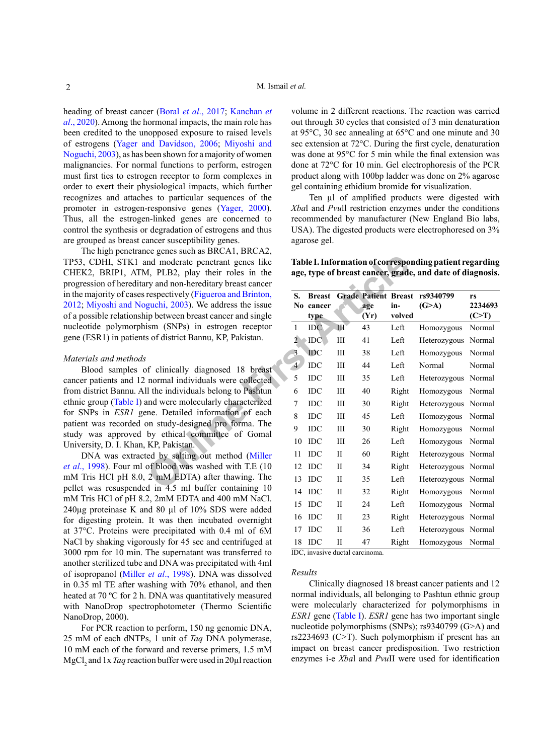heading of breast cancer (Boral *et al*[., 2017](#page-3-12); [Kanchan](#page-3-13) *et al*[., 2020](#page-3-13)). Among the hormonal impacts, the main role has been credited to the unopposed exposure to raised levels of estrogens ([Yager and Davidson, 2006](#page-3-14); [Miyoshi and](#page-3-15) [Noguchi, 2003](#page-3-15)), as has been shown for a majority of women malignancies. For normal functions to perform, estrogen must first ties to estrogen receptor to form complexes in order to exert their physiological impacts, which further recognizes and attaches to particular sequences of the promoter in estrogen-responsive genes ([Yager, 2000](#page-3-16)). Thus, all the estrogen-linked genes are concerned to control the synthesis or degradation of estrogens and thus are grouped as breast cancer susceptibility genes.

The high penetrance genes such as BRCA1, BRCA2, TP53, CDHI, STK1 and moderate penetrant genes like CHEK2, BRIP1, ATM, PLB2, play their roles in the progression of hereditary and non-hereditary breast cancer in the majority of cases respectively (Figueroa and Brinton, [2012](#page-3-17); [Miyoshi and Noguchi, 2003](#page-3-15)). We address the issue of a possible relationship between breast cancer and single nucleotide polymorphism (SNPs) in estrogen receptor gene (ESR1) in patients of district Bannu, KP, Pakistan.

# *Materials and methods*

Blood samples of clinically diagnosed 18 breast cancer patients and 12 normal individuals were collected from district Bannu. All the individuals belong to Pashtun ethnic group ([Table I\)](#page-1-0) and were molecularly characterized for SNPs in *ESR1* gene. Detailed information of each patient was recorded on study-designed pro forma. The study was approved by ethical committee of Gomal University, D. I. Khan, KP, Pakistan.

DNA was extracted by salting out method (Miller *et al*[., 1998](#page-3-18)). Four ml of blood was washed with T.E (10 mM Tris HCl pH 8.0, 2 mM EDTA) after thawing. The pellet was resuspended in 4.5 ml buffer containing 10 mM Tris HCl of pH 8.2, 2mM EDTA and 400 mM NaCl. 240µg proteinase K and 80 µl of 10% SDS were added for digesting protein. It was then incubated overnight at 37°C. Proteins were precipitated with 0.4 ml of 6M NaCl by shaking vigorously for 45 sec and centrifuged at 3000 rpm for 10 min. The supernatant was transferred to another sterilized tube and DNA was precipitated with 4ml of isopropanol (Miller *et al*[., 1998](#page-3-18)). DNA was dissolved in 0.35 ml TE after washing with 70% ethanol, and then heated at 70 °C for 2 h. DNA was quantitatively measured with NanoDrop spectrophotometer (Thermo Scientific NanoDrop, 2000).

For PCR reaction to perform, 150 ng genomic DNA, 25 mM of each dNTPs, 1 unit of *Taq* DNA polymerase, 10 mM each of the forward and reverse primers, 1.5 mM MgCl<sub>2</sub> and 1x *Taq* reaction buffer were used in 20µl reaction

volume in 2 different reactions. The reaction was carried out through 30 cycles that consisted of 3 min denaturation at 95°C, 30 sec annealing at 65°C and one minute and 30 sec extension at 72°C. During the first cycle, denaturation was done at 95°C for 5 min while the final extension was done at 72°C for 10 min. Gel electrophoresis of the PCR product along with 100bp ladder was done on 2% agarose gel containing ethidium bromide for visualization.

Ten µl of amplified products were digested with *Xba*l and *Pvu*ll restriction enzymes under the conditions recommended by manufacturer (New England Bio labs, USA). The digested products were electrophoresed on 3% agarose gel.

<span id="page-1-0"></span>**Table I. Information of corresponding patient regarding age, type of breast cancer, grade, and date of diagnosis.**

| nd moderate penetrant genes like<br>1, PLB2, play their roles in the<br>ry and non-hereditary breast cancer<br>respectively (Figueroa and Brinton,<br>guchi, 2003). We address the issue<br>ip between breast cancer and single<br>ism (SNPs) in estrogen receptor<br>s of district Bannu, KP, Pakistan. | Table I. Information of corresponding patient regarding<br>age, type of breast cancer, grade, and date of diagnosis. |                                     |              |             |               |                                         |                        |
|----------------------------------------------------------------------------------------------------------------------------------------------------------------------------------------------------------------------------------------------------------------------------------------------------------|----------------------------------------------------------------------------------------------------------------------|-------------------------------------|--------------|-------------|---------------|-----------------------------------------|------------------------|
|                                                                                                                                                                                                                                                                                                          | S.                                                                                                                   | <b>Breast</b><br>No cancer<br>type. |              | age<br>(Yr) | in-<br>volved | Grade Patient Breast rs9340799<br>(G>A) | rs<br>2234693<br>(C>T) |
|                                                                                                                                                                                                                                                                                                          | $\mathbf{1}$                                                                                                         | <b>IDC</b>                          | III          | 43          | Left          | Homozygous                              | Normal                 |
|                                                                                                                                                                                                                                                                                                          | $\overline{2}$                                                                                                       | IDC                                 | Ш            | 41          | Left          | Heterozygous Normal                     |                        |
|                                                                                                                                                                                                                                                                                                          | 3                                                                                                                    | <b>IDC</b>                          | Ш            | 38          | Left          | Homozygous                              | Normal                 |
| of clinically diagnosed 18 breast                                                                                                                                                                                                                                                                        | $\overline{4}$                                                                                                       | $\rm{IDC}$                          | Ш            | 44          | Left          | Normal                                  | Normal                 |
| normal individuals were collected                                                                                                                                                                                                                                                                        | 5                                                                                                                    | IDC                                 | Ш            | 35          | Left          | Heterozygous Normal                     |                        |
| I the individuals belong to Pashtun                                                                                                                                                                                                                                                                      | 6                                                                                                                    | IDC                                 | Ш            | 40          | Right         | Homozygous                              | Normal                 |
| and were molecularly characterized                                                                                                                                                                                                                                                                       | 7                                                                                                                    | <b>IDC</b>                          | Ш            | 30          | Right         | Heterozygous Normal                     |                        |
| ne. Detailed information of each                                                                                                                                                                                                                                                                         | 8                                                                                                                    | <b>IDC</b>                          | Ш            | 45          | Left          | Homozygous                              | Normal                 |
| on study-designed pro forma. The<br>by ethical committee of Gomal                                                                                                                                                                                                                                        | 9                                                                                                                    | IDC                                 | Ш            | 30          | Right         | Homozygous                              | Normal                 |
| KP, Pakistan.                                                                                                                                                                                                                                                                                            | 10                                                                                                                   | IDC                                 | Ш            | 26          | Left          | Homozygous                              | Normal                 |
| ed by salting out method (Miller                                                                                                                                                                                                                                                                         | 11                                                                                                                   | <b>IDC</b>                          | $\rm{II}$    | 60          | Right         | Heterozygous Normal                     |                        |
| of blood was washed with T.E (10                                                                                                                                                                                                                                                                         | 12                                                                                                                   | <b>IDC</b>                          | П            | 34          | Right         | Heterozygous Normal                     |                        |
| 2 mM EDTA) after thawing. The                                                                                                                                                                                                                                                                            | 13                                                                                                                   | <b>IDC</b>                          | П            | 35          | Left          | Heterozygous Normal                     |                        |
| d in $4.5$ ml buffer containing 10                                                                                                                                                                                                                                                                       |                                                                                                                      | 14 IDC                              | $\rm II$     | 32          | Right         | Homozygous                              | Normal                 |
| 2, 2mM EDTA and 400 mM NaCl.<br>nd 80 µl of 10% SDS were added                                                                                                                                                                                                                                           |                                                                                                                      | 15 IDC                              | П            | 24          | Left          | Homozygous                              | Normal                 |
| It was then incubated overnight                                                                                                                                                                                                                                                                          | 16                                                                                                                   | IDC                                 | $\rm II$     | 23          | Right         | Heterozygous Normal                     |                        |
| e precipitated with 0.4 ml of 6M                                                                                                                                                                                                                                                                         | 17                                                                                                                   | <b>IDC</b>                          | $\mathbf{I}$ | 36          | Left          | Heterozygous Normal                     |                        |
| ously for 45 sec and centrifuged at                                                                                                                                                                                                                                                                      |                                                                                                                      | 18 IDC                              | П            | 47          | Right         | Homozygous Normal                       |                        |
|                                                                                                                                                                                                                                                                                                          |                                                                                                                      |                                     |              |             |               |                                         |                        |

IDC, invasive ductal carcinoma.

## *Results*

Clinically diagnosed 18 breast cancer patients and 12 normal individuals, all belonging to Pashtun ethnic group were molecularly characterized for polymorphisms in *ESR1* gene ([Table I\)](#page-1-0). *ESR1* gene has two important single nucleotide polymorphisms (SNPs); rs9340799 (G>A) and rs2234693 (C>T). Such polymorphism if present has an impact on breast cancer predisposition. Two restriction enzymes i-e *Xba*l and *Pvu*II were used for identification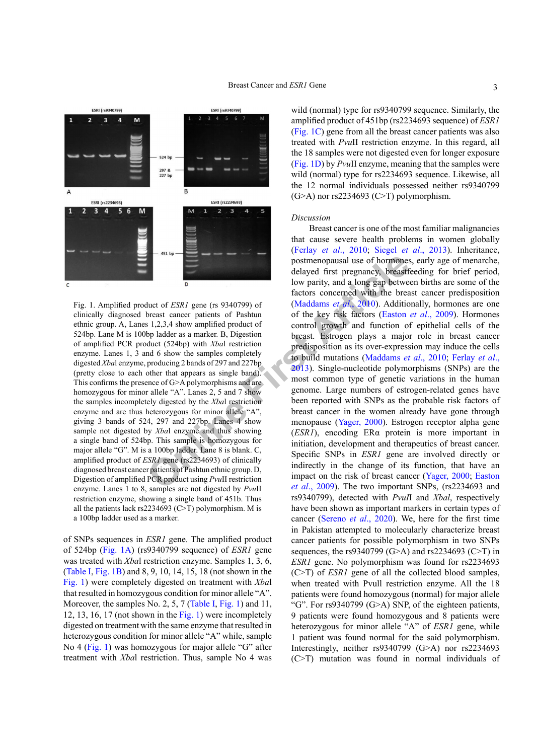

<span id="page-2-0"></span>Fig. 1. Amplified product of *ESR1* gene (rs 9340799) of clinically diagnosed breast cancer patients of Pashtun ethnic group. A, Lanes 1,2,3,4 show amplified product of 524bp. Lane M is 100bp ladder as a marker. B, Digestion of amplified PCR product (524bp) with *Xba*l restriction enzyme. Lanes 1, 3 and 6 show the samples completely digested *Xba*l enzyme, producing 2 bands of 297 and 227bp (pretty close to each other that appears as single band). This confirms the presence of G>A polymorphisms and are homozygous for minor allele "A". Lanes 2, 5 and 7 show the samples incompletely digested by the *Xba*l restriction enzyme and are thus heterozygous for minor allele "A", giving 3 bands of 524, 297 and 227bp. Lanes 4 show sample not digested by *Xba*l enzyme and thus showing a single band of 524bp. This sample is homozygous for major allele "G". M is a 100bp ladder. Lane 8 is blank. C, amplified product of *ESR1* gene (rs2234693) of clinically diagnosed breast cancer patients of Pashtun ethnic group. D, Digestion of amplified PCR product using *Pvu*II restriction enzyme. Lanes 1 to 8, samples are not digested by *Pvu*II restriction enzyme, showing a single band of 451b. Thus all the patients lack rs2234693 (C>T) polymorphism. M is a 100bp ladder used as a marker.

of SNPs sequences in *ESR1* gene. The amplified product of 524bp ([Fig. 1A](#page-2-0)) (rs9340799 sequence) of *ESR1* gene was treated with *Xba*l restriction enzyme. Samples 1, 3, 6, [\(Table I,](#page-1-0) [Fig. 1](#page-2-0)B) and 8, 9, 10, 14, 15, 18 (not shown in the [Fig. 1](#page-2-0)) were completely digested on treatment with *Xba*l that resulted in homozygous condition for minor allele "A". Moreover, the samples No. 2, 5, 7 ([Table I,](#page-1-0) [Fig. 1](#page-2-0)) and 11, 12, 13, 16, 17 (not shown in the [Fig. 1](#page-2-0)) were incompletely digested on treatment with the same enzyme that resulted in heterozygous condition for minor allele "A" while, sample No 4 ([Fig. 1](#page-2-0)) was homozygous for major allele "G" after treatment with *Xba*l restriction. Thus, sample No 4 was wild (normal) type for rs9340799 sequence. Similarly, the amplified product of 451bp (rs2234693 sequence) of *ESR1* ([Fig. 1](#page-2-0)C) gene from all the breast cancer patients was also treated with *Pvu*II restriction enzyme. In this regard, all the 18 samples were not digested even for longer exposure ([Fig. 1](#page-2-0)D) by *Pvu*II enzyme, meaning that the samples were wild (normal) type for rs2234693 sequence. Likewise, all the 12 normal individuals possessed neither rs9340799  $(G>A)$  nor rs2234693  $(C>T)$  polymorphism.

### *Discussion*

**Example 19**<br> **Confidentially**<br> **Confidentially**<br> **Confidentially**<br> **Confident and the set of the key risk facto[rs](#page-3-0) concerned with the bread<br>
threat cancer patients of Pashtun of the key risk factors (Easton<br>
bread concerne** Breast cancer is one of the most familiar malignancies that cause severe health problems in women globally (Ferlay *et al*[., 2010](#page-3-0); Siegel *et al*[., 2013](#page-3-2)). Inheritance, postmenopausal use of hormones, early age of menarche, delayed first pregnancy, breastfeeding for brief period, low parity, and a long gap between births are some of the factors concerned with the breast cancer predisposition (Maddams *et al*., 2010). Additionally, hormones are one of the key risk factors (Easton *et al*., 2009). Hormones control growth and function of epithelial cells of the breast. Estrogen plays a major role in breast cancer predisposition as its over-expression may induce the cells to build mutations (Maddams *et al*., 2010; [Ferlay](#page-3-0) *et al*., 2013). Single-nucleotide polymorphisms (SNPs) are the most common type of genetic variations in the human genome. Large numbers of estrogen-related genes have been reported with SNPs as the probable risk factors of breast cancer in the women already have gone through menopause (Yager, 2000). Estrogen receptor alpha gene (*ESR1*), encoding ERα protein is more important in initiation, development and therapeutics of breast cancer. Specific SNPs in *ESR1* gene are involved directly or indirectly in the change of its function, that have an impact on the risk of breast cancer ([Yager, 2000](#page-3-16); [Easton](#page-3-10) *et al*., 2009). The two important SNPs, (rs2234693 and rs9340799), detected with *PvuI*I and *Xbal*, respectively have been shown as important markers in certain types of cancer [\(Sereno](#page-3-19) *et al*., 2020). We, here for the first time in Pakistan attempted to molecularly characterize breast cancer patients for possible polymorphism in two SNPs sequences, the rs9340799 (G>A) and rs2234693 (C>T) in *ESR1* gene. No polymorphism was found for rs2234693 (C>T) of *ESR1* gene of all the collected blood samples, when treated with Pvull restriction enzyme. All the 18 patients were found homozygous (normal) for major allele "G". For rs9340799 (G>A) SNP, of the eighteen patients, 9 patients were found homozygous and 8 patients were heterozygous for minor allele "A" of *ESR1* gene, while 1 patient was found normal for the said polymorphism. Interestingly, neither rs9340799 (G>A) nor rs2234693 (C>T) mutation was found in normal individuals of